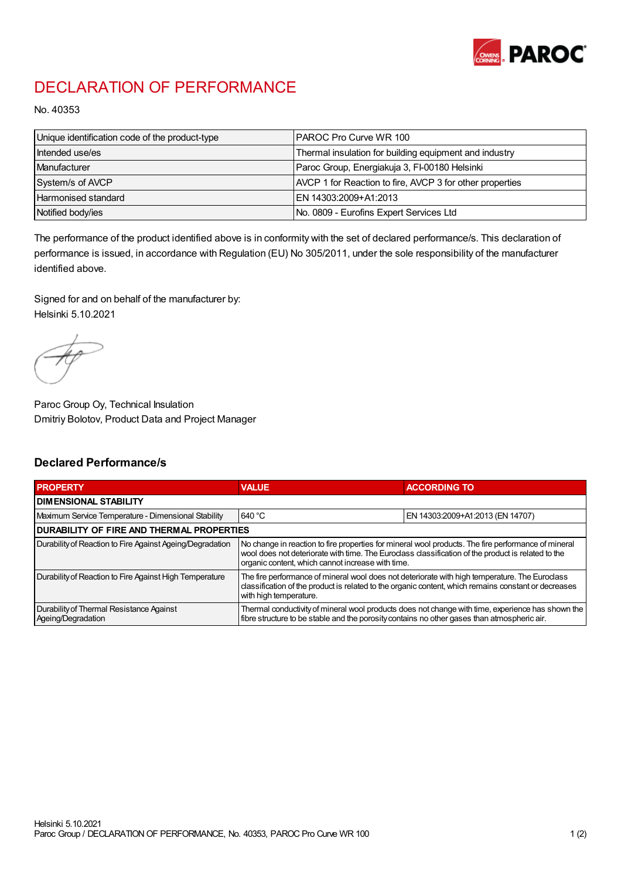

## DECLARATION OF PERFORMANCE

No. 40353

| Unique identification code of the product-type | IPAROC Pro Curve WR 100                                  |
|------------------------------------------------|----------------------------------------------------------|
| Intended use/es                                | Thermal insulation for building equipment and industry   |
| Manufacturer                                   | Paroc Group, Energiakuja 3, FI-00180 Helsinki            |
| System/s of AVCP                               | AVCP 1 for Reaction to fire, AVCP 3 for other properties |
| Harmonised standard                            | IEN 14303:2009+A1:2013                                   |
| Notified body/ies                              | No. 0809 - Eurofins Expert Services Ltd                  |

The performance of the product identified above is in conformity with the set of declared performance/s. This declaration of performance is issued, in accordance with Regulation (EU) No 305/2011, under the sole responsibility of the manufacturer identified above.

Signed for and on behalf of the manufacturer by: Helsinki 5.10.2021

Paroc Group Oy, Technical Insulation Dmitriy Bolotov, Product Data and Project Manager

## Declared Performance/s

| <b>PROPERTY</b>                                                | <b>VALUE</b>                                                                                                                                                                                                                                                   | <b>ACCORDING TO</b>              |  |
|----------------------------------------------------------------|----------------------------------------------------------------------------------------------------------------------------------------------------------------------------------------------------------------------------------------------------------------|----------------------------------|--|
| <b>DIMENSIONAL STABILITY</b>                                   |                                                                                                                                                                                                                                                                |                                  |  |
| Maximum Service Temperature - Dimensional Stability            | 640 °C                                                                                                                                                                                                                                                         | EN 14303:2009+A1:2013 (EN 14707) |  |
| <b>DURABILITY OF FIRE AND THERMAL PROPERTIES</b>               |                                                                                                                                                                                                                                                                |                                  |  |
| Durability of Reaction to Fire Against Ageing/Degradation      | No change in reaction to fire properties for mineral wool products. The fire performance of mineral<br>wool does not deteriorate with time. The Euroclass classification of the product is related to the<br>organic content, which cannot increase with time. |                                  |  |
| Durability of Reaction to Fire Against High Temperature        | The fire performance of mineral wool does not deteriorate with high temperature. The Eurodass<br>classification of the product is related to the organic content, which remains constant or decreases<br>with high temperature.                                |                                  |  |
| Durability of Thermal Resistance Against<br>Ageing/Degradation | Thermal conductivity of mineral wool products does not change with time, experience has shown the<br>fibre structure to be stable and the porosity contains no other gases than atmospheric air.                                                               |                                  |  |